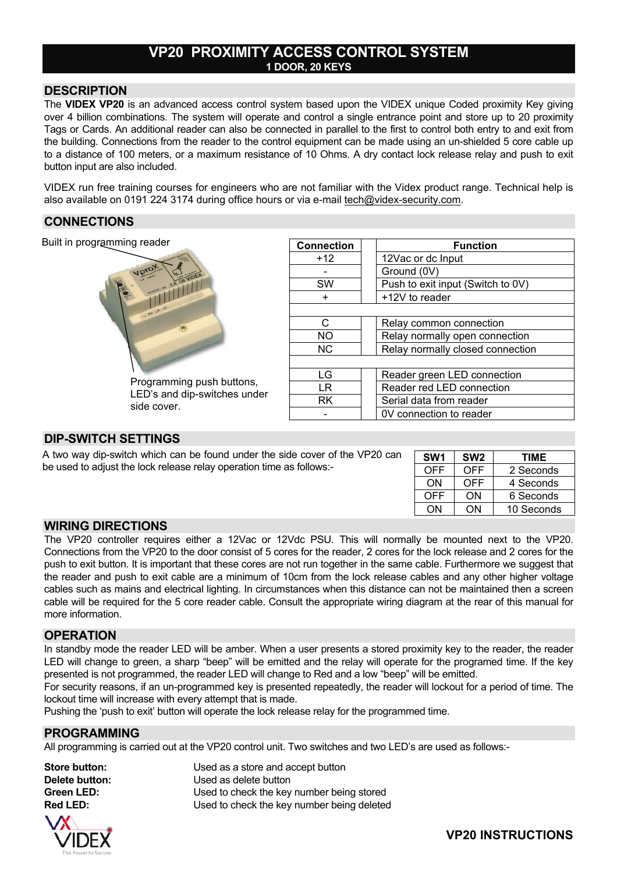# **VP20 PROXIMITY ACCESS CONTROL SYSTEM 1 DOOR, 20 KEYS**

## **DESCRIPTION**

The **VIDEX VP20** is an advanced access control system based upon the VIDEX unique Coded proximity Key giving over 4 billion combinations. The system will operate and control a single entrance point and store up to 20 proximity Tags or Cards. An additional reader can also be connected in parallel to the first to control both entry to and exit from the building. Connections from the reader to the control equipment can be made using an un-shielded 5 core cable up to a distance of 100 meters, or a maximum resistance of 10 Ohms. A dry contact lock release relay and push to exit button input are also included.

VIDEX run free training courses for engineers who are not familiar with the Videx product range. Technical help is also available on 0191 224 3174 during office hours or via e-mail tech@videx-security.com.

### **CONNECTIONS**

Built in programming reader



Programming push buttons, LED's and dip-switches under side cover.

| <b>Connection</b> | <b>Function</b>                   |  |  |  |
|-------------------|-----------------------------------|--|--|--|
| $+12$             | 12Vac or dc Input                 |  |  |  |
|                   | Ground (0V)                       |  |  |  |
| SW                | Push to exit input (Switch to 0V) |  |  |  |
| ÷                 | +12V to reader                    |  |  |  |
|                   |                                   |  |  |  |
| C                 | Relay common connection           |  |  |  |
| NO                | Relay normally open connection    |  |  |  |
| N <sub>C</sub>    | Relay normally closed connection  |  |  |  |
|                   |                                   |  |  |  |
| LG                | Reader green LED connection       |  |  |  |
| l R               | Reader red LED connection         |  |  |  |
| RK                | Serial data from reader           |  |  |  |
|                   | 0V connection to reader           |  |  |  |

# **DIP-SWITCH SETTINGS**

A two way dip-switch which can be found under the side cover of the VP20 can be used to adjust the lock release relay operation time as follows:-

| SW <sub>1</sub> | SW <sub>2</sub> | TIME       |
|-----------------|-----------------|------------|
| OFF             | OFF             | 2 Seconds  |
| ON              | OFF             | 4 Seconds  |
| <b>OFF</b>      | OΝ              | 6 Seconds  |
|                 |                 | 10 Seconds |

## **WIRING DIRECTIONS**

The VP20 controller requires either a 12Vac or 12Vdc PSU. This will normally be mounted next to the VP20. Connections from the VP20 to the door consist of 5 cores for the reader, 2 cores for the lock release and 2 cores for the push to exit button. It is important that these cores are not run together in the same cable. Furthermore we suggest that the reader and push to exit cable are a minimum of 10cm from the lock release cables and any other higher voltage cables such as mains and electrical lighting. In circumstances when this distance can not be maintained then a screen cable will be required for the 5 core reader cable. Consult the appropriate wiring diagram at the rear of this manual for more information.

#### **OPERATION**

In standby mode the reader LED will be amber. When a user presents a stored proximity key to the reader, the reader LED will change to green, a sharp "beep" will be emitted and the relay will operate for the programed time. If the key presented is not programmed, the reader LED will change to Red and a low "beep" will be emitted.

For security reasons, if an un-programmed key is presented repeatedly, the reader will lockout for a period of time. The lockout time will increase with every attempt that is made.

Pushing the 'push to exit' button will operate the lock release relay for the programmed time.

#### **PROGRAMMING**

All programming is carried out at the VP20 control unit. Two switches and two LED's are used as follows:-



**Store button:** Used as a store and accept button **Delete button:** Used as delete button **Green LED:** Used to check the key number being stored **Red LED:** Used to check the key number being deleted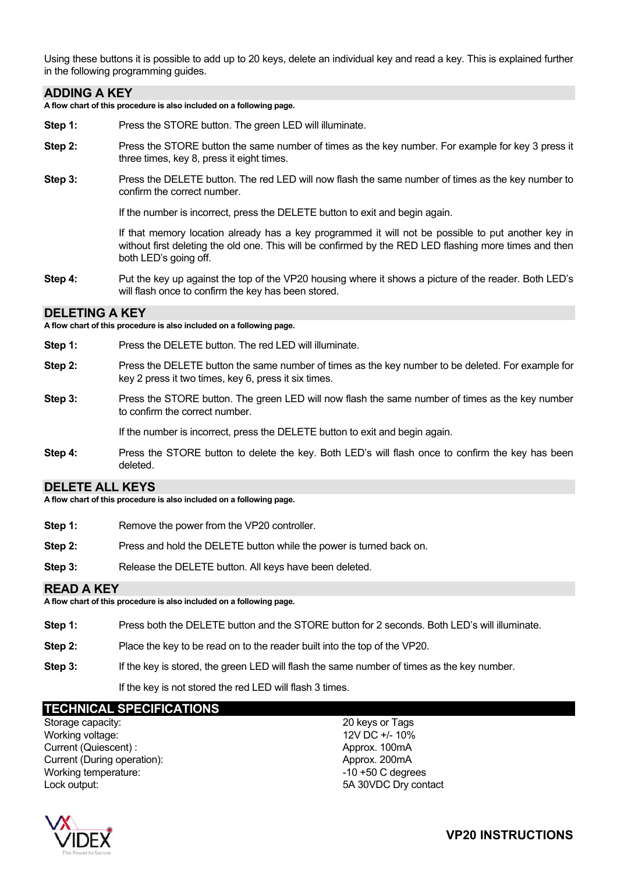Using these buttons it is possible to add up to 20 keys, delete an individual key and read a key. This is explained further in the following programming guides.

#### **ADDING A KEY**

**A flow chart of this procedure is also included on a following page.** 

- **Step 1:** Press the STORE button. The green LED will illuminate.
- **Step 2:** Press the STORE button the same number of times as the key number. For example for key 3 press it three times, key 8, press it eight times.
- **Step 3:** Press the DELETE button. The red LED will now flash the same number of times as the key number to confirm the correct number.

If the number is incorrect, press the DELETE button to exit and begin again.

If that memory location already has a key programmed it will not be possible to put another key in without first deleting the old one. This will be confirmed by the RED LED flashing more times and then both LED's going off.

**Step 4:** Put the key up against the top of the VP20 housing where it shows a picture of the reader. Both LED's will flash once to confirm the key has been stored.

#### **DELETING A KEY**

**A flow chart of this procedure is also included on a following page.** 

- **Step 1:** Press the DELETE button. The red LED will illuminate.
- **Step 2:** Press the DELETE button the same number of times as the key number to be deleted. For example for key 2 press it two times, key 6, press it six times.
- **Step 3:** Press the STORE button. The green LED will now flash the same number of times as the key number to confirm the correct number.

If the number is incorrect, press the DELETE button to exit and begin again.

**Step 4:** Press the STORE button to delete the key. Both LED's will flash once to confirm the key has been deleted.

#### **DELETE ALL KEYS**

**A flow chart of this procedure is also included on a following page.** 

- **Step 1:** Remove the power from the VP20 controller.
- **Step 2:** Press and hold the DELETE button while the power is turned back on.
- **Step 3:** Release the DELETE button. All keys have been deleted.

#### **READ A KEY**

**A flow chart of this procedure is also included on a following page.** 

- **Step 1:** Press both the DELETE button and the STORE button for 2 seconds. Both LED's will illuminate.
- **Step 2:** Place the key to be read on to the reader built into the top of the VP20.
- **Step 3:** If the key is stored, the green LED will flash the same number of times as the key number.

If the key is not stored the red LED will flash 3 times.

# **TECHNICAL SPECIFICATIONS**

Storage capacity: 20 keys or Tags Working voltage: 12V DC +/- 10% Current (Quiescent) : Approx. 100mA Current (During operation): Approx. 200mA Working temperature:  $-10 + 50$  C degrees Lock output: 5A 30VDC Dry contact

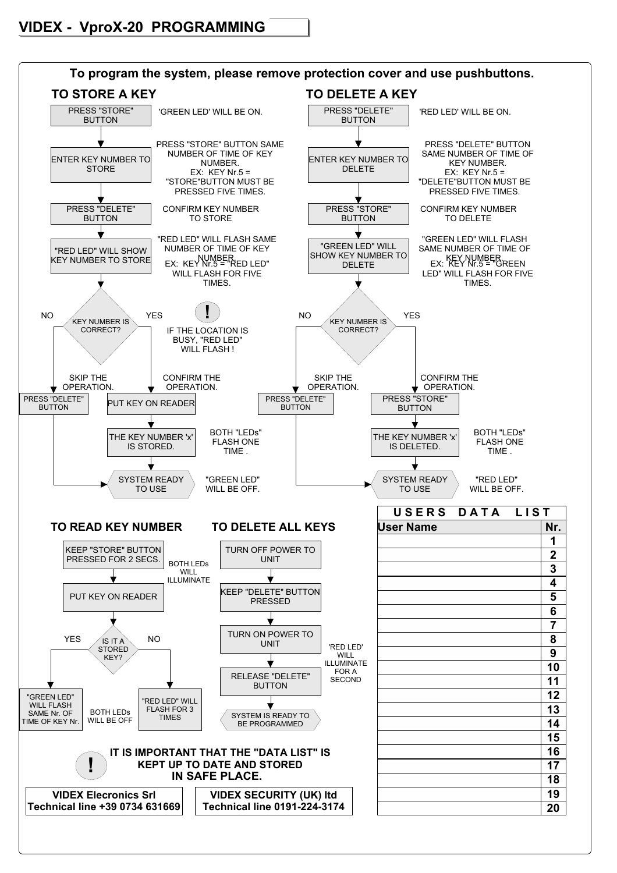